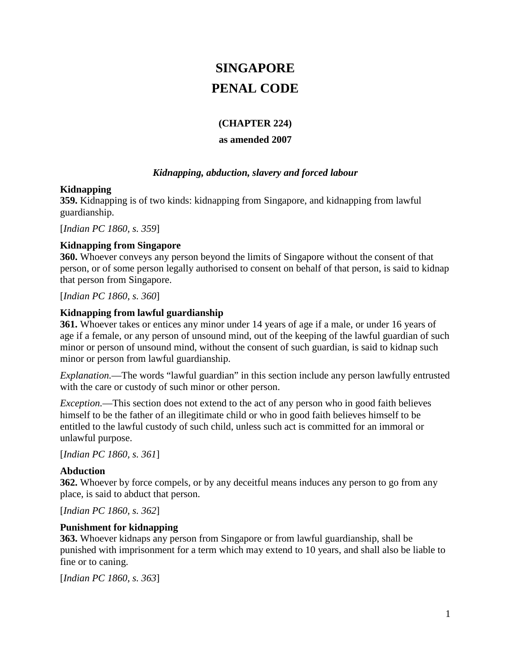# **SINGAPORE PENAL CODE**

### **(CHAPTER 224)**

### **as amended 2007**

### *Kidnapping, abduction, slavery and forced labour*

### **Kidnapping**

**359.** Kidnapping is of two kinds: kidnapping from Singapore, and kidnapping from lawful guardianship.

[*Indian PC 1860, s. 359*]

### **Kidnapping from Singapore**

**360.** Whoever conveys any person beyond the limits of Singapore without the consent of that person, or of some person legally authorised to consent on behalf of that person, is said to kidnap that person from Singapore.

[*Indian PC 1860, s. 360*]

### **Kidnapping from lawful guardianship**

**361.** Whoever takes or entices any minor under 14 years of age if a male, or under 16 years of age if a female, or any person of unsound mind, out of the keeping of the lawful guardian of such minor or person of unsound mind, without the consent of such guardian, is said to kidnap such minor or person from lawful guardianship.

*Explanation.*—The words "lawful guardian" in this section include any person lawfully entrusted with the care or custody of such minor or other person.

*Exception.*—This section does not extend to the act of any person who in good faith believes himself to be the father of an illegitimate child or who in good faith believes himself to be entitled to the lawful custody of such child, unless such act is committed for an immoral or unlawful purpose.

[*Indian PC 1860, s. 361*]

### **Abduction**

**362.** Whoever by force compels, or by any deceitful means induces any person to go from any place, is said to abduct that person.

[*Indian PC 1860, s. 362*]

### **Punishment for kidnapping**

**363.** Whoever kidnaps any person from Singapore or from lawful guardianship, shall be punished with imprisonment for a term which may extend to 10 years, and shall also be liable to fine or to caning.

[*Indian PC 1860, s. 363*]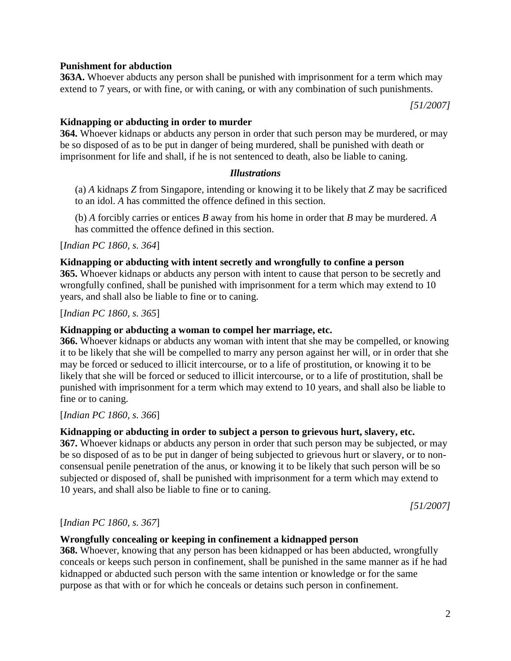### **Punishment for abduction**

**363A.** Whoever abducts any person shall be punished with imprisonment for a term which may extend to 7 years, or with fine, or with caning, or with any combination of such punishments.

*[51/2007]*

#### **Kidnapping or abducting in order to murder**

**364.** Whoever kidnaps or abducts any person in order that such person may be murdered, or may be so disposed of as to be put in danger of being murdered, shall be punished with death or imprisonment for life and shall, if he is not sentenced to death, also be liable to caning.

#### *Illustrations*

(a) *A* kidnaps *Z* from Singapore, intending or knowing it to be likely that *Z* may be sacrificed to an idol. *A* has committed the offence defined in this section.

(b) *A* forcibly carries or entices *B* away from his home in order that *B* may be murdered. *A* has committed the offence defined in this section.

[*Indian PC 1860, s. 364*]

#### **Kidnapping or abducting with intent secretly and wrongfully to confine a person**

**365.** Whoever kidnaps or abducts any person with intent to cause that person to be secretly and wrongfully confined, shall be punished with imprisonment for a term which may extend to 10 years, and shall also be liable to fine or to caning.

[*Indian PC 1860, s. 365*]

#### **Kidnapping or abducting a woman to compel her marriage, etc.**

**366.** Whoever kidnaps or abducts any woman with intent that she may be compelled, or knowing it to be likely that she will be compelled to marry any person against her will, or in order that she may be forced or seduced to illicit intercourse, or to a life of prostitution, or knowing it to be likely that she will be forced or seduced to illicit intercourse, or to a life of prostitution, shall be punished with imprisonment for a term which may extend to 10 years, and shall also be liable to fine or to caning.

[*Indian PC 1860, s. 366*]

#### **Kidnapping or abducting in order to subject a person to grievous hurt, slavery, etc.**

**367.** Whoever kidnaps or abducts any person in order that such person may be subjected, or may be so disposed of as to be put in danger of being subjected to grievous hurt or slavery, or to nonconsensual penile penetration of the anus, or knowing it to be likely that such person will be so subjected or disposed of, shall be punished with imprisonment for a term which may extend to 10 years, and shall also be liable to fine or to caning.

*[51/2007]*

#### [*Indian PC 1860, s. 367*]

#### **Wrongfully concealing or keeping in confinement a kidnapped person**

**368.** Whoever, knowing that any person has been kidnapped or has been abducted, wrongfully conceals or keeps such person in confinement, shall be punished in the same manner as if he had kidnapped or abducted such person with the same intention or knowledge or for the same purpose as that with or for which he conceals or detains such person in confinement.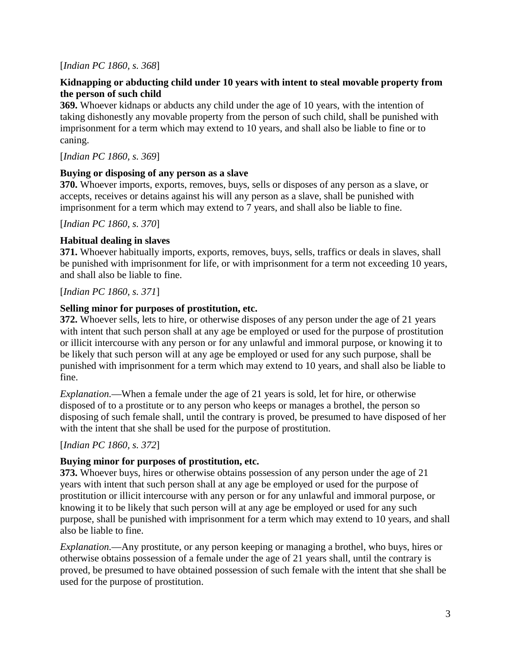### [*Indian PC 1860, s. 368*]

### **Kidnapping or abducting child under 10 years with intent to steal movable property from the person of such child**

**369.** Whoever kidnaps or abducts any child under the age of 10 years, with the intention of taking dishonestly any movable property from the person of such child, shall be punished with imprisonment for a term which may extend to 10 years, and shall also be liable to fine or to caning.

[*Indian PC 1860, s. 369*]

### **Buying or disposing of any person as a slave**

**370.** Whoever imports, exports, removes, buys, sells or disposes of any person as a slave, or accepts, receives or detains against his will any person as a slave, shall be punished with imprisonment for a term which may extend to 7 years, and shall also be liable to fine.

[*Indian PC 1860, s. 370*]

### **Habitual dealing in slaves**

**371.** Whoever habitually imports, exports, removes, buys, sells, traffics or deals in slaves, shall be punished with imprisonment for life, or with imprisonment for a term not exceeding 10 years, and shall also be liable to fine.

[*Indian PC 1860, s. 371*]

### **Selling minor for purposes of prostitution, etc.**

**372.** Whoever sells, lets to hire, or otherwise disposes of any person under the age of 21 years with intent that such person shall at any age be employed or used for the purpose of prostitution or illicit intercourse with any person or for any unlawful and immoral purpose, or knowing it to be likely that such person will at any age be employed or used for any such purpose, shall be punished with imprisonment for a term which may extend to 10 years, and shall also be liable to fine.

*Explanation.*—When a female under the age of 21 years is sold, let for hire, or otherwise disposed of to a prostitute or to any person who keeps or manages a brothel, the person so disposing of such female shall, until the contrary is proved, be presumed to have disposed of her with the intent that she shall be used for the purpose of prostitution.

[*Indian PC 1860, s. 372*]

### **Buying minor for purposes of prostitution, etc.**

**373.** Whoever buys, hires or otherwise obtains possession of any person under the age of 21 years with intent that such person shall at any age be employed or used for the purpose of prostitution or illicit intercourse with any person or for any unlawful and immoral purpose, or knowing it to be likely that such person will at any age be employed or used for any such purpose, shall be punished with imprisonment for a term which may extend to 10 years, and shall also be liable to fine.

*Explanation.*—Any prostitute, or any person keeping or managing a brothel, who buys, hires or otherwise obtains possession of a female under the age of 21 years shall, until the contrary is proved, be presumed to have obtained possession of such female with the intent that she shall be used for the purpose of prostitution.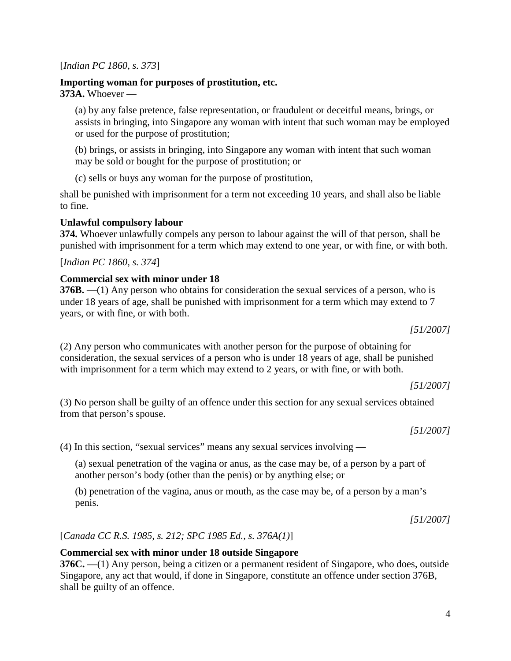[*Indian PC 1860, s. 373*]

**Importing woman for purposes of prostitution, etc. 373A.** Whoever —

(a) by any false pretence, false representation, or fraudulent or deceitful means, brings, or assists in bringing, into Singapore any woman with intent that such woman may be employed or used for the purpose of prostitution;

(b) brings, or assists in bringing, into Singapore any woman with intent that such woman may be sold or bought for the purpose of prostitution; or

(c) sells or buys any woman for the purpose of prostitution,

shall be punished with imprisonment for a term not exceeding 10 years, and shall also be liable to fine.

### **Unlawful compulsory labour**

**374.** Whoever unlawfully compels any person to labour against the will of that person, shall be punished with imprisonment for a term which may extend to one year, or with fine, or with both.

[*Indian PC 1860, s. 374*]

### **Commercial sex with minor under 18**

**376B.** —(1) Any person who obtains for consideration the sexual services of a person, who is under 18 years of age, shall be punished with imprisonment for a term which may extend to 7 years, or with fine, or with both.

*[51/2007]*

(2) Any person who communicates with another person for the purpose of obtaining for consideration, the sexual services of a person who is under 18 years of age, shall be punished with imprisonment for a term which may extend to 2 years, or with fine, or with both.

*[51/2007]*

(3) No person shall be guilty of an offence under this section for any sexual services obtained from that person's spouse.

*[51/2007]*

(4) In this section, "sexual services" means any sexual services involving —

(a) sexual penetration of the vagina or anus, as the case may be, of a person by a part of another person's body (other than the penis) or by anything else; or

(b) penetration of the vagina, anus or mouth, as the case may be, of a person by a man's penis.

*[51/2007]*

[*Canada CC R.S. 1985, s. 212; SPC 1985 Ed., s. 376A(1)*]

### **Commercial sex with minor under 18 outside Singapore**

**376C.** —(1) Any person, being a citizen or a permanent resident of Singapore, who does, outside Singapore, any act that would, if done in Singapore, constitute an offence under section 376B, shall be guilty of an offence.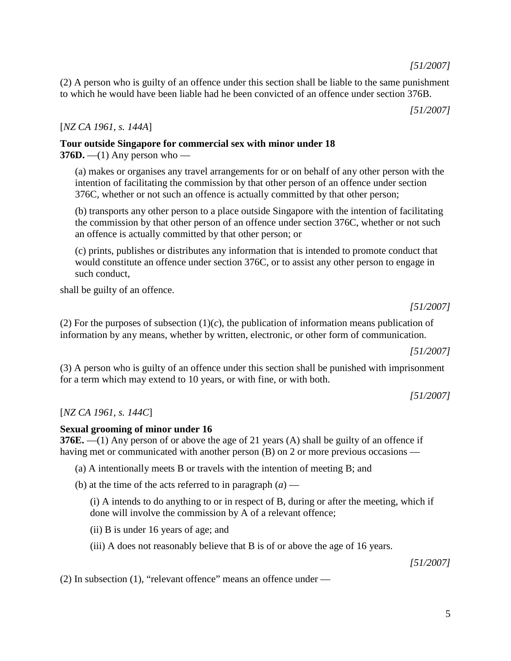(2) A person who is guilty of an offence under this section shall be liable to the same punishment to which he would have been liable had he been convicted of an offence under section 376B.

*[51/2007]*

### [*NZ CA 1961, s. 144A*]

# **Tour outside Singapore for commercial sex with minor under 18**

**376D.** —(1) Any person who —

(a) makes or organises any travel arrangements for or on behalf of any other person with the intention of facilitating the commission by that other person of an offence under section 376C, whether or not such an offence is actually committed by that other person;

(b) transports any other person to a place outside Singapore with the intention of facilitating the commission by that other person of an offence under section 376C, whether or not such an offence is actually committed by that other person; or

(c) prints, publishes or distributes any information that is intended to promote conduct that would constitute an offence under section 376C, or to assist any other person to engage in such conduct,

shall be guilty of an offence.

*[51/2007]*

(2) For the purposes of subsection  $(1)(c)$ , the publication of information means publication of information by any means, whether by written, electronic, or other form of communication.

*[51/2007]*

(3) A person who is guilty of an offence under this section shall be punished with imprisonment for a term which may extend to 10 years, or with fine, or with both.

*[51/2007]*

[*NZ CA 1961, s. 144C*]

### **Sexual grooming of minor under 16**

**376E.** —(1) Any person of or above the age of 21 years (A) shall be guilty of an offence if having met or communicated with another person (B) on 2 or more previous occasions —

(a) A intentionally meets B or travels with the intention of meeting B; and

(b) at the time of the acts referred to in paragraph  $(a)$  —

(i) A intends to do anything to or in respect of B, during or after the meeting, which if done will involve the commission by A of a relevant offence;

(ii) B is under 16 years of age; and

(iii) A does not reasonably believe that B is of or above the age of 16 years.

*[51/2007]*

(2) In subsection (1), "relevant offence" means an offence under —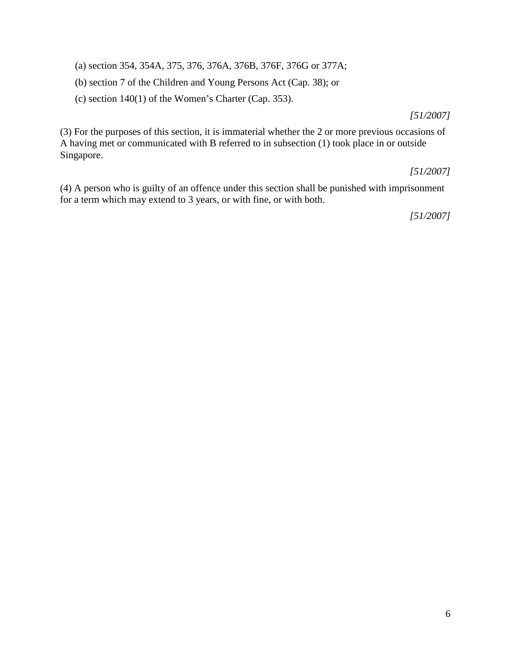(a) section 354, 354A, 375, 376, 376A, 376B, 376F, 376G or 377A;

(b) section 7 of the Children and Young Persons Act (Cap. 38); or

(c) section 140(1) of the Women's Charter (Cap. 353).

*[51/2007]*

(3) For the purposes of this section, it is immaterial whether the 2 or more previous occasions of A having met or communicated with B referred to in subsection (1) took place in or outside Singapore.

### *[51/2007]*

(4) A person who is guilty of an offence under this section shall be punished with imprisonment for a term which may extend to 3 years, or with fine, or with both.

*[51/2007]*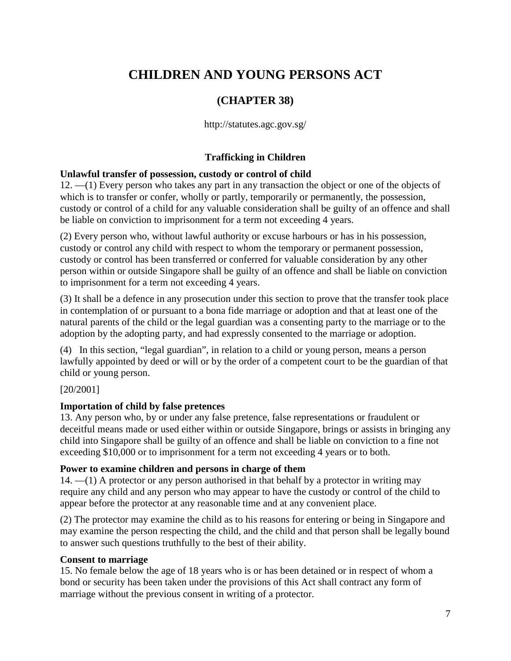# **CHILDREN AND YOUNG PERSONS ACT**

### **(CHAPTER 38)**

http://statutes.agc.gov.sg/

### **Trafficking in Children**

### **Unlawful transfer of possession, custody or control of child**

12. —(1) Every person who takes any part in any transaction the object or one of the objects of which is to transfer or confer, wholly or partly, temporarily or permanently, the possession, custody or control of a child for any valuable consideration shall be guilty of an offence and shall be liable on conviction to imprisonment for a term not exceeding 4 years.

(2) Every person who, without lawful authority or excuse harbours or has in his possession, custody or control any child with respect to whom the temporary or permanent possession, custody or control has been transferred or conferred for valuable consideration by any other person within or outside Singapore shall be guilty of an offence and shall be liable on conviction to imprisonment for a term not exceeding 4 years.

(3) It shall be a defence in any prosecution under this section to prove that the transfer took place in contemplation of or pursuant to a bona fide marriage or adoption and that at least one of the natural parents of the child or the legal guardian was a consenting party to the marriage or to the adoption by the adopting party, and had expressly consented to the marriage or adoption.

(4) In this section, "legal guardian", in relation to a child or young person, means a person lawfully appointed by deed or will or by the order of a competent court to be the guardian of that child or young person.

### [20/2001]

### **Importation of child by false pretences**

13. Any person who, by or under any false pretence, false representations or fraudulent or deceitful means made or used either within or outside Singapore, brings or assists in bringing any child into Singapore shall be guilty of an offence and shall be liable on conviction to a fine not exceeding \$10,000 or to imprisonment for a term not exceeding 4 years or to both.

### **Power to examine children and persons in charge of them**

 $14. - (1)$  A protector or any person authorised in that behalf by a protector in writing may require any child and any person who may appear to have the custody or control of the child to appear before the protector at any reasonable time and at any convenient place.

(2) The protector may examine the child as to his reasons for entering or being in Singapore and may examine the person respecting the child, and the child and that person shall be legally bound to answer such questions truthfully to the best of their ability.

### **Consent to marriage**

15. No female below the age of 18 years who is or has been detained or in respect of whom a bond or security has been taken under the provisions of this Act shall contract any form of marriage without the previous consent in writing of a protector.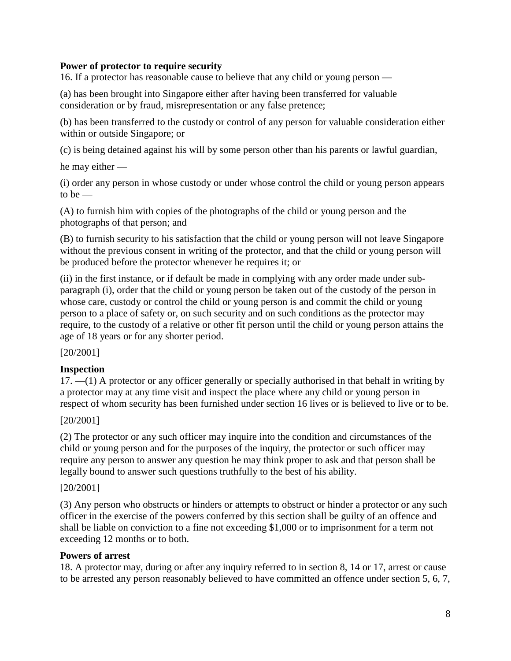### **Power of protector to require security**

16. If a protector has reasonable cause to believe that any child or young person —

(a) has been brought into Singapore either after having been transferred for valuable consideration or by fraud, misrepresentation or any false pretence;

(b) has been transferred to the custody or control of any person for valuable consideration either within or outside Singapore; or

(c) is being detained against his will by some person other than his parents or lawful guardian,

he may either —

(i) order any person in whose custody or under whose control the child or young person appears to be  $-$ 

(A) to furnish him with copies of the photographs of the child or young person and the photographs of that person; and

(B) to furnish security to his satisfaction that the child or young person will not leave Singapore without the previous consent in writing of the protector, and that the child or young person will be produced before the protector whenever he requires it; or

(ii) in the first instance, or if default be made in complying with any order made under subparagraph (i), order that the child or young person be taken out of the custody of the person in whose care, custody or control the child or young person is and commit the child or young person to a place of safety or, on such security and on such conditions as the protector may require, to the custody of a relative or other fit person until the child or young person attains the age of 18 years or for any shorter period.

[20/2001]

### **Inspection**

17. —(1) A protector or any officer generally or specially authorised in that behalf in writing by a protector may at any time visit and inspect the place where any child or young person in respect of whom security has been furnished under section 16 lives or is believed to live or to be.

### [20/2001]

(2) The protector or any such officer may inquire into the condition and circumstances of the child or young person and for the purposes of the inquiry, the protector or such officer may require any person to answer any question he may think proper to ask and that person shall be legally bound to answer such questions truthfully to the best of his ability.

### [20/2001]

(3) Any person who obstructs or hinders or attempts to obstruct or hinder a protector or any such officer in the exercise of the powers conferred by this section shall be guilty of an offence and shall be liable on conviction to a fine not exceeding \$1,000 or to imprisonment for a term not exceeding 12 months or to both.

### **Powers of arrest**

18. A protector may, during or after any inquiry referred to in section 8, 14 or 17, arrest or cause to be arrested any person reasonably believed to have committed an offence under section 5, 6, 7,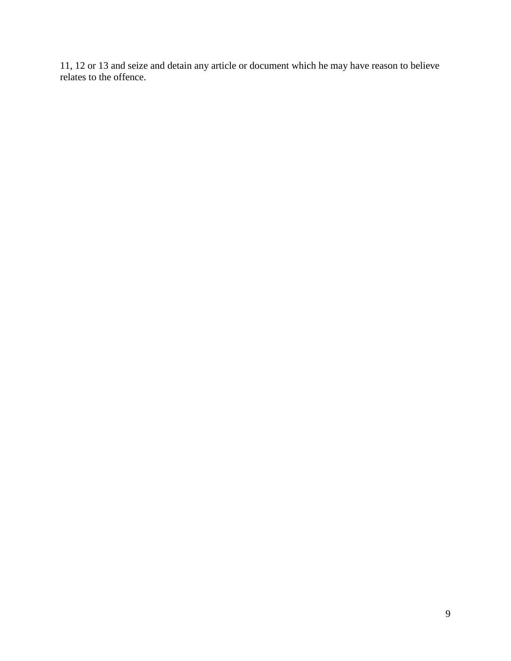11, 12 or 13 and seize and detain any article or document which he may have reason to believe relates to the offence.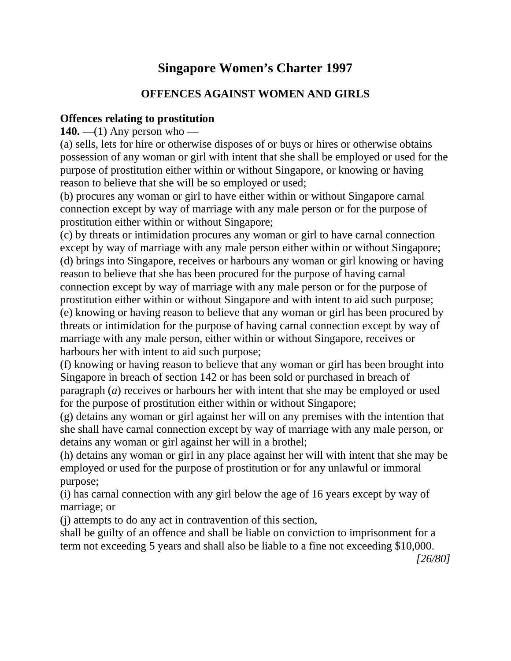# **Singapore Women's Charter 1997**

# **OFFENCES AGAINST WOMEN AND GIRLS**

# **Offences relating to prostitution**

**140.** —(1) Any person who —

(a) sells, lets for hire or otherwise disposes of or buys or hires or otherwise obtains possession of any woman or girl with intent that she shall be employed or used for the purpose of prostitution either within or without Singapore, or knowing or having reason to believe that she will be so employed or used;

(b) procures any woman or girl to have either within or without Singapore carnal connection except by way of marriage with any male person or for the purpose of prostitution either within or without Singapore;

(c) by threats or intimidation procures any woman or girl to have carnal connection except by way of marriage with any male person either within or without Singapore; (d) brings into Singapore, receives or harbours any woman or girl knowing or having reason to believe that she has been procured for the purpose of having carnal connection except by way of marriage with any male person or for the purpose of prostitution either within or without Singapore and with intent to aid such purpose; (e) knowing or having reason to believe that any woman or girl has been procured by threats or intimidation for the purpose of having carnal connection except by way of marriage with any male person, either within or without Singapore, receives or harbours her with intent to aid such purpose;

(f) knowing or having reason to believe that any woman or girl has been brought into Singapore in breach of section 142 or has been sold or purchased in breach of paragraph (*a*) receives or harbours her with intent that she may be employed or used for the purpose of prostitution either within or without Singapore;

(g) detains any woman or girl against her will on any premises with the intention that she shall have carnal connection except by way of marriage with any male person, or detains any woman or girl against her will in a brothel;

(h) detains any woman or girl in any place against her will with intent that she may be employed or used for the purpose of prostitution or for any unlawful or immoral purpose;

(i) has carnal connection with any girl below the age of 16 years except by way of marriage; or

(j) attempts to do any act in contravention of this section,

shall be guilty of an offence and shall be liable on conviction to imprisonment for a term not exceeding 5 years and shall also be liable to a fine not exceeding \$10,000.

*[26/80]*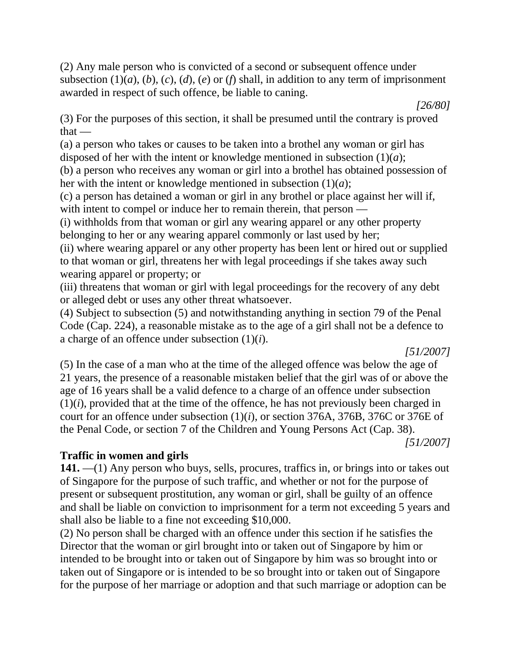(2) Any male person who is convicted of a second or subsequent offence under subsection  $(1)(a)$ ,  $(b)$ ,  $(c)$ ,  $(d)$ ,  $(e)$  or  $(f)$  shall, in addition to any term of imprisonment awarded in respect of such offence, be liable to caning.

(3) For the purposes of this section, it shall be presumed until the contrary is proved  $that -$ 

(a) a person who takes or causes to be taken into a brothel any woman or girl has disposed of her with the intent or knowledge mentioned in subsection (1)(*a*);

(b) a person who receives any woman or girl into a brothel has obtained possession of her with the intent or knowledge mentioned in subsection (1)(*a*);

(c) a person has detained a woman or girl in any brothel or place against her will if, with intent to compel or induce her to remain therein, that person —

(i) withholds from that woman or girl any wearing apparel or any other property belonging to her or any wearing apparel commonly or last used by her;

(ii) where wearing apparel or any other property has been lent or hired out or supplied to that woman or girl, threatens her with legal proceedings if she takes away such wearing apparel or property; or

(iii) threatens that woman or girl with legal proceedings for the recovery of any debt or alleged debt or uses any other threat whatsoever.

(4) Subject to subsection (5) and notwithstanding anything in section 79 of the Penal Code (Cap. 224), a reasonable mistake as to the age of a girl shall not be a defence to a charge of an offence under subsection (1)(*i*).

*[51/2007]*

*[26/80]*

(5) In the case of a man who at the time of the alleged offence was below the age of 21 years, the presence of a reasonable mistaken belief that the girl was of or above the age of 16 years shall be a valid defence to a charge of an offence under subsection  $(1)(i)$ , provided that at the time of the offence, he has not previously been charged in court for an offence under subsection (1)(*i*), or section 376A, 376B, 376C or 376E of the Penal Code, or section 7 of the Children and Young Persons Act (Cap. 38).

*[51/2007]*

# **Traffic in women and girls**

**141.** —(1) Any person who buys, sells, procures, traffics in, or brings into or takes out of Singapore for the purpose of such traffic, and whether or not for the purpose of present or subsequent prostitution, any woman or girl, shall be guilty of an offence and shall be liable on conviction to imprisonment for a term not exceeding 5 years and shall also be liable to a fine not exceeding \$10,000.

(2) No person shall be charged with an offence under this section if he satisfies the Director that the woman or girl brought into or taken out of Singapore by him or intended to be brought into or taken out of Singapore by him was so brought into or taken out of Singapore or is intended to be so brought into or taken out of Singapore for the purpose of her marriage or adoption and that such marriage or adoption can be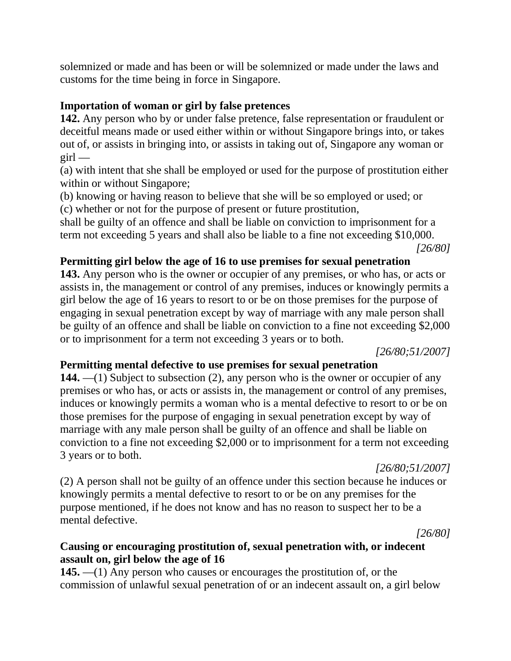solemnized or made and has been or will be solemnized or made under the laws and customs for the time being in force in Singapore.

# **Importation of woman or girl by false pretences**

**142.** Any person who by or under false pretence, false representation or fraudulent or deceitful means made or used either within or without Singapore brings into, or takes out of, or assists in bringing into, or assists in taking out of, Singapore any woman or  $girl$  —

(a) with intent that she shall be employed or used for the purpose of prostitution either within or without Singapore;

(b) knowing or having reason to believe that she will be so employed or used; or (c) whether or not for the purpose of present or future prostitution,

shall be guilty of an offence and shall be liable on conviction to imprisonment for a term not exceeding 5 years and shall also be liable to a fine not exceeding \$10,000.

*[26/80]*

# **Permitting girl below the age of 16 to use premises for sexual penetration**

**143.** Any person who is the owner or occupier of any premises, or who has, or acts or assists in, the management or control of any premises, induces or knowingly permits a girl below the age of 16 years to resort to or be on those premises for the purpose of engaging in sexual penetration except by way of marriage with any male person shall be guilty of an offence and shall be liable on conviction to a fine not exceeding \$2,000 or to imprisonment for a term not exceeding 3 years or to both.

*[26/80;51/2007]*

# **Permitting mental defective to use premises for sexual penetration**

**144.** —(1) Subject to subsection (2), any person who is the owner or occupier of any premises or who has, or acts or assists in, the management or control of any premises, induces or knowingly permits a woman who is a mental defective to resort to or be on those premises for the purpose of engaging in sexual penetration except by way of marriage with any male person shall be guilty of an offence and shall be liable on conviction to a fine not exceeding \$2,000 or to imprisonment for a term not exceeding 3 years or to both.

*[26/80;51/2007]*

(2) A person shall not be guilty of an offence under this section because he induces or knowingly permits a mental defective to resort to or be on any premises for the purpose mentioned, if he does not know and has no reason to suspect her to be a mental defective.

*[26/80]*

# **Causing or encouraging prostitution of, sexual penetration with, or indecent assault on, girl below the age of 16**

**145.** —(1) Any person who causes or encourages the prostitution of, or the commission of unlawful sexual penetration of or an indecent assault on, a girl below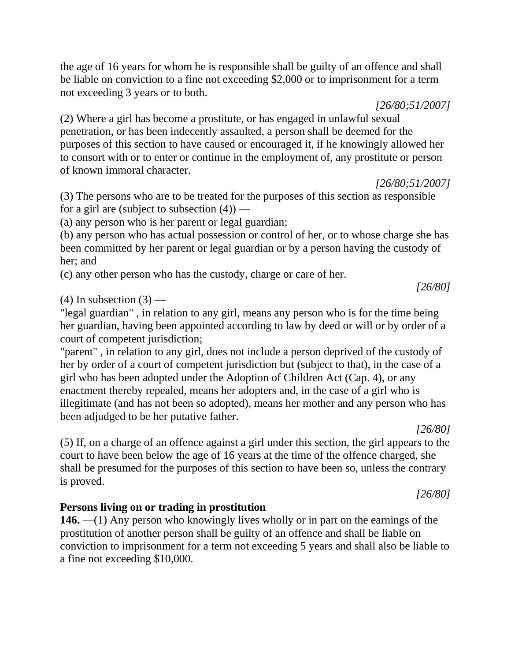the age of 16 years for whom he is responsible shall be guilty of an offence and shall be liable on conviction to a fine not exceeding \$2,000 or to imprisonment for a term not exceeding 3 years or to both.

*[26/80;51/2007]*

(2) Where a girl has become a prostitute, or has engaged in unlawful sexual penetration, or has been indecently assaulted, a person shall be deemed for the purposes of this section to have caused or encouraged it, if he knowingly allowed her to consort with or to enter or continue in the employment of, any prostitute or person of known immoral character.

*[26/80;51/2007]*

(3) The persons who are to be treated for the purposes of this section as responsible for a girl are (subject to subsection  $(4)$ ) —

(a) any person who is her parent or legal guardian;

(b) any person who has actual possession or control of her, or to whose charge she has been committed by her parent or legal guardian or by a person having the custody of her; and

(c) any other person who has the custody, charge or care of her.

 $(4)$  In subsection  $(3)$  —

"legal guardian" , in relation to any girl, means any person who is for the time being her guardian, having been appointed according to law by deed or will or by order of a court of competent jurisdiction;

"parent" , in relation to any girl, does not include a person deprived of the custody of her by order of a court of competent jurisdiction but (subject to that), in the case of a girl who has been adopted under the Adoption of Children Act (Cap. 4), or any enactment thereby repealed, means her adopters and, in the case of a girl who is illegitimate (and has not been so adopted), means her mother and any person who has been adjudged to be her putative father.

*[26/80]*

*[26/80]*

(5) If, on a charge of an offence against a girl under this section, the girl appears to the court to have been below the age of 16 years at the time of the offence charged, she shall be presumed for the purposes of this section to have been so, unless the contrary is proved.

# **Persons living on or trading in prostitution**

**146.** —(1) Any person who knowingly lives wholly or in part on the earnings of the prostitution of another person shall be guilty of an offence and shall be liable on conviction to imprisonment for a term not exceeding 5 years and shall also be liable to a fine not exceeding \$10,000.

# *[26/80]*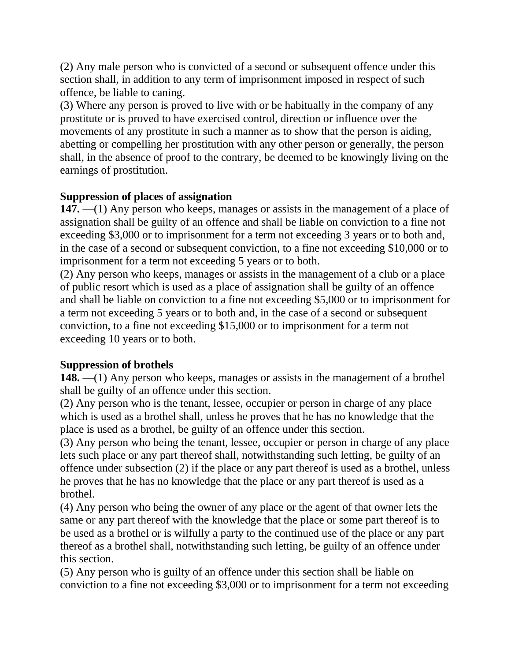(2) Any male person who is convicted of a second or subsequent offence under this section shall, in addition to any term of imprisonment imposed in respect of such offence, be liable to caning.

(3) Where any person is proved to live with or be habitually in the company of any prostitute or is proved to have exercised control, direction or influence over the movements of any prostitute in such a manner as to show that the person is aiding, abetting or compelling her prostitution with any other person or generally, the person shall, in the absence of proof to the contrary, be deemed to be knowingly living on the earnings of prostitution.

# **Suppression of places of assignation**

**147.** —(1) Any person who keeps, manages or assists in the management of a place of assignation shall be guilty of an offence and shall be liable on conviction to a fine not exceeding \$3,000 or to imprisonment for a term not exceeding 3 years or to both and, in the case of a second or subsequent conviction, to a fine not exceeding \$10,000 or to imprisonment for a term not exceeding 5 years or to both.

(2) Any person who keeps, manages or assists in the management of a club or a place of public resort which is used as a place of assignation shall be guilty of an offence and shall be liable on conviction to a fine not exceeding \$5,000 or to imprisonment for a term not exceeding 5 years or to both and, in the case of a second or subsequent conviction, to a fine not exceeding \$15,000 or to imprisonment for a term not exceeding 10 years or to both.

# **Suppression of brothels**

**148.** —(1) Any person who keeps, manages or assists in the management of a brothel shall be guilty of an offence under this section.

(2) Any person who is the tenant, lessee, occupier or person in charge of any place which is used as a brothel shall, unless he proves that he has no knowledge that the place is used as a brothel, be guilty of an offence under this section.

(3) Any person who being the tenant, lessee, occupier or person in charge of any place lets such place or any part thereof shall, notwithstanding such letting, be guilty of an offence under subsection (2) if the place or any part thereof is used as a brothel, unless he proves that he has no knowledge that the place or any part thereof is used as a brothel.

(4) Any person who being the owner of any place or the agent of that owner lets the same or any part thereof with the knowledge that the place or some part thereof is to be used as a brothel or is wilfully a party to the continued use of the place or any part thereof as a brothel shall, notwithstanding such letting, be guilty of an offence under this section.

(5) Any person who is guilty of an offence under this section shall be liable on conviction to a fine not exceeding \$3,000 or to imprisonment for a term not exceeding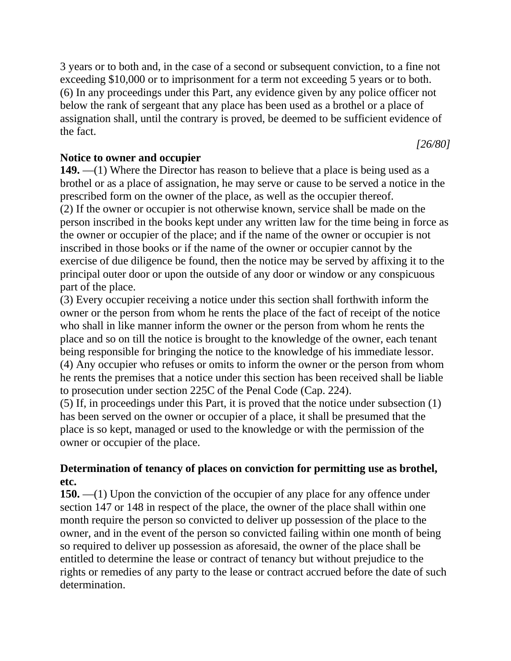3 years or to both and, in the case of a second or subsequent conviction, to a fine not exceeding \$10,000 or to imprisonment for a term not exceeding 5 years or to both. (6) In any proceedings under this Part, any evidence given by any police officer not below the rank of sergeant that any place has been used as a brothel or a place of assignation shall, until the contrary is proved, be deemed to be sufficient evidence of the fact.

*[26/80]*

# **Notice to owner and occupier**

**149.** —(1) Where the Director has reason to believe that a place is being used as a brothel or as a place of assignation, he may serve or cause to be served a notice in the prescribed form on the owner of the place, as well as the occupier thereof. (2) If the owner or occupier is not otherwise known, service shall be made on the person inscribed in the books kept under any written law for the time being in force as the owner or occupier of the place; and if the name of the owner or occupier is not inscribed in those books or if the name of the owner or occupier cannot by the exercise of due diligence be found, then the notice may be served by affixing it to the principal outer door or upon the outside of any door or window or any conspicuous part of the place.

(3) Every occupier receiving a notice under this section shall forthwith inform the owner or the person from whom he rents the place of the fact of receipt of the notice who shall in like manner inform the owner or the person from whom he rents the place and so on till the notice is brought to the knowledge of the owner, each tenant being responsible for bringing the notice to the knowledge of his immediate lessor. (4) Any occupier who refuses or omits to inform the owner or the person from whom he rents the premises that a notice under this section has been received shall be liable to prosecution under section 225C of the Penal Code (Cap. 224).

(5) If, in proceedings under this Part, it is proved that the notice under subsection (1) has been served on the owner or occupier of a place, it shall be presumed that the place is so kept, managed or used to the knowledge or with the permission of the owner or occupier of the place.

# **Determination of tenancy of places on conviction for permitting use as brothel, etc.**

**150.** —(1) Upon the conviction of the occupier of any place for any offence under section 147 or 148 in respect of the place, the owner of the place shall within one month require the person so convicted to deliver up possession of the place to the owner, and in the event of the person so convicted failing within one month of being so required to deliver up possession as aforesaid, the owner of the place shall be entitled to determine the lease or contract of tenancy but without prejudice to the rights or remedies of any party to the lease or contract accrued before the date of such determination.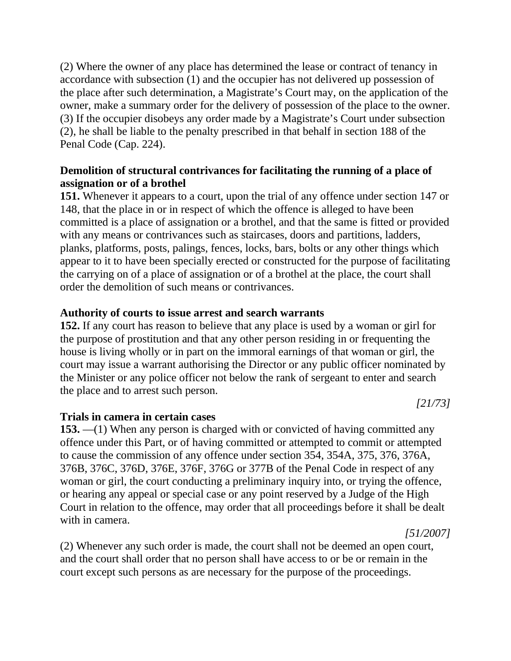(2) Where the owner of any place has determined the lease or contract of tenancy in accordance with subsection (1) and the occupier has not delivered up possession of the place after such determination, a Magistrate's Court may, on the application of the owner, make a summary order for the delivery of possession of the place to the owner. (3) If the occupier disobeys any order made by a Magistrate's Court under subsection (2), he shall be liable to the penalty prescribed in that behalf in section 188 of the Penal Code (Cap. 224).

# **Demolition of structural contrivances for facilitating the running of a place of assignation or of a brothel**

**151.** Whenever it appears to a court, upon the trial of any offence under section 147 or 148, that the place in or in respect of which the offence is alleged to have been committed is a place of assignation or a brothel, and that the same is fitted or provided with any means or contrivances such as staircases, doors and partitions, ladders, planks, platforms, posts, palings, fences, locks, bars, bolts or any other things which appear to it to have been specially erected or constructed for the purpose of facilitating the carrying on of a place of assignation or of a brothel at the place, the court shall order the demolition of such means or contrivances.

# **Authority of courts to issue arrest and search warrants**

**152.** If any court has reason to believe that any place is used by a woman or girl for the purpose of prostitution and that any other person residing in or frequenting the house is living wholly or in part on the immoral earnings of that woman or girl, the court may issue a warrant authorising the Director or any public officer nominated by the Minister or any police officer not below the rank of sergeant to enter and search the place and to arrest such person.

*[21/73]*

### **Trials in camera in certain cases**

**153.** —(1) When any person is charged with or convicted of having committed any offence under this Part, or of having committed or attempted to commit or attempted to cause the commission of any offence under section 354, 354A, 375, 376, 376A, 376B, 376C, 376D, 376E, 376F, 376G or 377B of the Penal Code in respect of any woman or girl, the court conducting a preliminary inquiry into, or trying the offence, or hearing any appeal or special case or any point reserved by a Judge of the High Court in relation to the offence, may order that all proceedings before it shall be dealt with in camera.

(2) Whenever any such order is made, the court shall not be deemed an open court, and the court shall order that no person shall have access to or be or remain in the court except such persons as are necessary for the purpose of the proceedings.

*[51/2007]*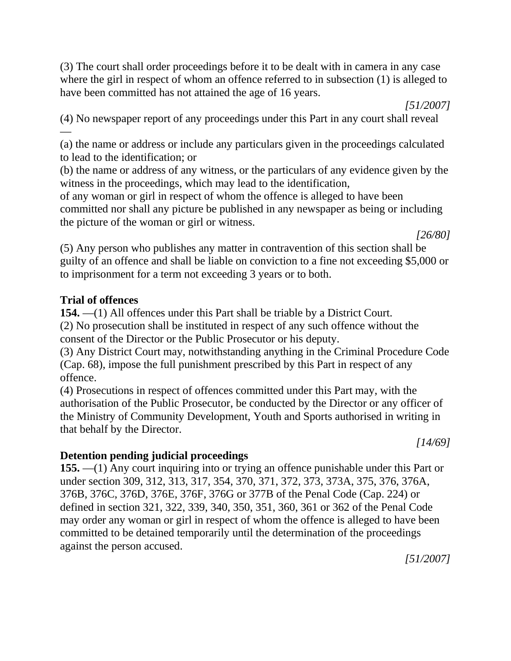(3) The court shall order proceedings before it to be dealt with in camera in any case where the girl in respect of whom an offence referred to in subsection (1) is alleged to have been committed has not attained the age of 16 years.

*[51/2007]*

(4) No newspaper report of any proceedings under this Part in any court shall reveal —

(a) the name or address or include any particulars given in the proceedings calculated to lead to the identification; or

(b) the name or address of any witness, or the particulars of any evidence given by the witness in the proceedings, which may lead to the identification,

of any woman or girl in respect of whom the offence is alleged to have been committed nor shall any picture be published in any newspaper as being or including the picture of the woman or girl or witness.

*[26/80]*

(5) Any person who publishes any matter in contravention of this section shall be guilty of an offence and shall be liable on conviction to a fine not exceeding \$5,000 or to imprisonment for a term not exceeding 3 years or to both.

# **Trial of offences**

**154.** —(1) All offences under this Part shall be triable by a District Court. (2) No prosecution shall be instituted in respect of any such offence without the consent of the Director or the Public Prosecutor or his deputy.

(3) Any District Court may, notwithstanding anything in the Criminal Procedure Code (Cap. 68), impose the full punishment prescribed by this Part in respect of any offence.

(4) Prosecutions in respect of offences committed under this Part may, with the authorisation of the Public Prosecutor, be conducted by the Director or any officer of the Ministry of Community Development, Youth and Sports authorised in writing in that behalf by the Director.

*[14/69]*

# **Detention pending judicial proceedings**

**155.** —(1) Any court inquiring into or trying an offence punishable under this Part or under section 309, 312, 313, 317, 354, 370, 371, 372, 373, 373A, 375, 376, 376A, 376B, 376C, 376D, 376E, 376F, 376G or 377B of the Penal Code (Cap. 224) or defined in section 321, 322, 339, 340, 350, 351, 360, 361 or 362 of the Penal Code may order any woman or girl in respect of whom the offence is alleged to have been committed to be detained temporarily until the determination of the proceedings against the person accused.

*[51/2007]*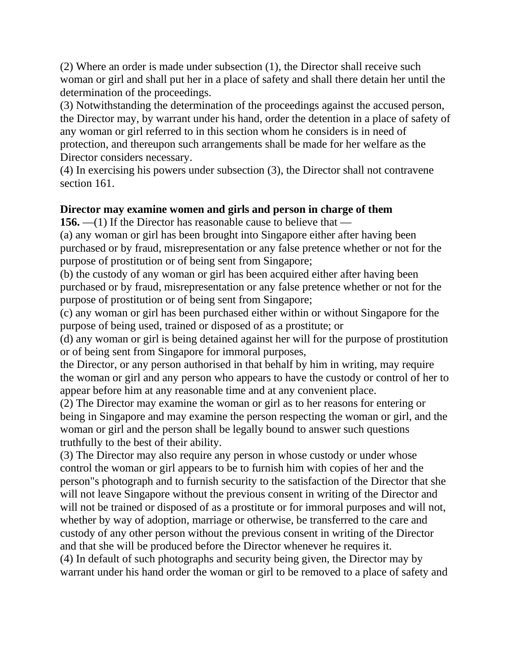(2) Where an order is made under subsection (1), the Director shall receive such woman or girl and shall put her in a place of safety and shall there detain her until the determination of the proceedings.

(3) Notwithstanding the determination of the proceedings against the accused person, the Director may, by warrant under his hand, order the detention in a place of safety of any woman or girl referred to in this section whom he considers is in need of protection, and thereupon such arrangements shall be made for her welfare as the Director considers necessary.

(4) In exercising his powers under subsection (3), the Director shall not contravene section 161.

# **Director may examine women and girls and person in charge of them**

**156.** —(1) If the Director has reasonable cause to believe that —

(a) any woman or girl has been brought into Singapore either after having been purchased or by fraud, misrepresentation or any false pretence whether or not for the purpose of prostitution or of being sent from Singapore;

(b) the custody of any woman or girl has been acquired either after having been purchased or by fraud, misrepresentation or any false pretence whether or not for the purpose of prostitution or of being sent from Singapore;

(c) any woman or girl has been purchased either within or without Singapore for the purpose of being used, trained or disposed of as a prostitute; or

(d) any woman or girl is being detained against her will for the purpose of prostitution or of being sent from Singapore for immoral purposes,

the Director, or any person authorised in that behalf by him in writing, may require the woman or girl and any person who appears to have the custody or control of her to appear before him at any reasonable time and at any convenient place.

(2) The Director may examine the woman or girl as to her reasons for entering or being in Singapore and may examine the person respecting the woman or girl, and the woman or girl and the person shall be legally bound to answer such questions truthfully to the best of their ability.

(3) The Director may also require any person in whose custody or under whose control the woman or girl appears to be to furnish him with copies of her and the person"s photograph and to furnish security to the satisfaction of the Director that she will not leave Singapore without the previous consent in writing of the Director and will not be trained or disposed of as a prostitute or for immoral purposes and will not, whether by way of adoption, marriage or otherwise, be transferred to the care and custody of any other person without the previous consent in writing of the Director and that she will be produced before the Director whenever he requires it.

(4) In default of such photographs and security being given, the Director may by warrant under his hand order the woman or girl to be removed to a place of safety and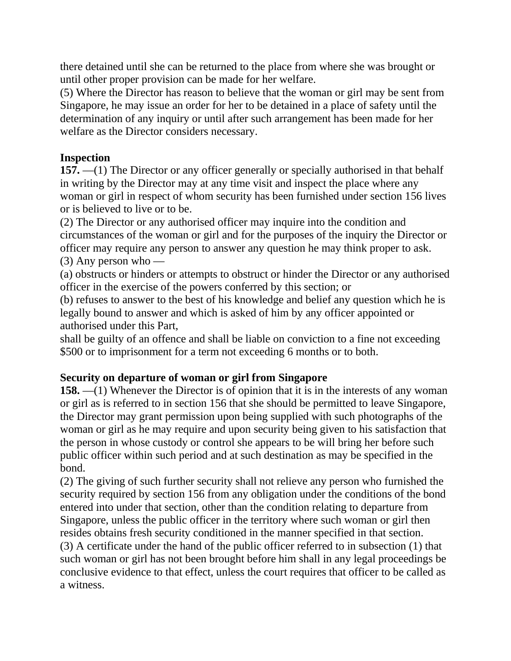there detained until she can be returned to the place from where she was brought or until other proper provision can be made for her welfare.

(5) Where the Director has reason to believe that the woman or girl may be sent from Singapore, he may issue an order for her to be detained in a place of safety until the determination of any inquiry or until after such arrangement has been made for her welfare as the Director considers necessary.

# **Inspection**

**157.** —(1) The Director or any officer generally or specially authorised in that behalf in writing by the Director may at any time visit and inspect the place where any woman or girl in respect of whom security has been furnished under section 156 lives or is believed to live or to be.

(2) The Director or any authorised officer may inquire into the condition and circumstances of the woman or girl and for the purposes of the inquiry the Director or officer may require any person to answer any question he may think proper to ask.  $(3)$  Any person who —

(a) obstructs or hinders or attempts to obstruct or hinder the Director or any authorised officer in the exercise of the powers conferred by this section; or

(b) refuses to answer to the best of his knowledge and belief any question which he is legally bound to answer and which is asked of him by any officer appointed or authorised under this Part,

shall be guilty of an offence and shall be liable on conviction to a fine not exceeding \$500 or to imprisonment for a term not exceeding 6 months or to both.

# **Security on departure of woman or girl from Singapore**

**158.** —(1) Whenever the Director is of opinion that it is in the interests of any woman or girl as is referred to in section 156 that she should be permitted to leave Singapore, the Director may grant permission upon being supplied with such photographs of the woman or girl as he may require and upon security being given to his satisfaction that the person in whose custody or control she appears to be will bring her before such public officer within such period and at such destination as may be specified in the bond.

(2) The giving of such further security shall not relieve any person who furnished the security required by section 156 from any obligation under the conditions of the bond entered into under that section, other than the condition relating to departure from Singapore, unless the public officer in the territory where such woman or girl then resides obtains fresh security conditioned in the manner specified in that section.

(3) A certificate under the hand of the public officer referred to in subsection (1) that such woman or girl has not been brought before him shall in any legal proceedings be conclusive evidence to that effect, unless the court requires that officer to be called as a witness.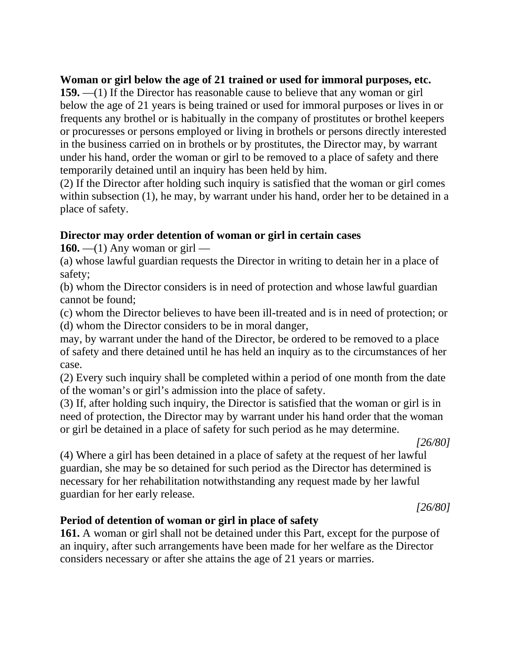# **Woman or girl below the age of 21 trained or used for immoral purposes, etc.**

**159.** —(1) If the Director has reasonable cause to believe that any woman or girl below the age of 21 years is being trained or used for immoral purposes or lives in or frequents any brothel or is habitually in the company of prostitutes or brothel keepers or procuresses or persons employed or living in brothels or persons directly interested in the business carried on in brothels or by prostitutes, the Director may, by warrant under his hand, order the woman or girl to be removed to a place of safety and there temporarily detained until an inquiry has been held by him.

(2) If the Director after holding such inquiry is satisfied that the woman or girl comes within subsection (1), he may, by warrant under his hand, order her to be detained in a place of safety.

# **Director may order detention of woman or girl in certain cases**

**160.** —(1) Any woman or girl —

(a) whose lawful guardian requests the Director in writing to detain her in a place of safety;

(b) whom the Director considers is in need of protection and whose lawful guardian cannot be found;

(c) whom the Director believes to have been ill-treated and is in need of protection; or (d) whom the Director considers to be in moral danger,

may, by warrant under the hand of the Director, be ordered to be removed to a place of safety and there detained until he has held an inquiry as to the circumstances of her case.

(2) Every such inquiry shall be completed within a period of one month from the date of the woman's or girl's admission into the place of safety.

(3) If, after holding such inquiry, the Director is satisfied that the woman or girl is in need of protection, the Director may by warrant under his hand order that the woman or girl be detained in a place of safety for such period as he may determine.

*[26/80]*

(4) Where a girl has been detained in a place of safety at the request of her lawful guardian, she may be so detained for such period as the Director has determined is necessary for her rehabilitation notwithstanding any request made by her lawful guardian for her early release.

*[26/80]*

# **Period of detention of woman or girl in place of safety**

**161.** A woman or girl shall not be detained under this Part, except for the purpose of an inquiry, after such arrangements have been made for her welfare as the Director considers necessary or after she attains the age of 21 years or marries.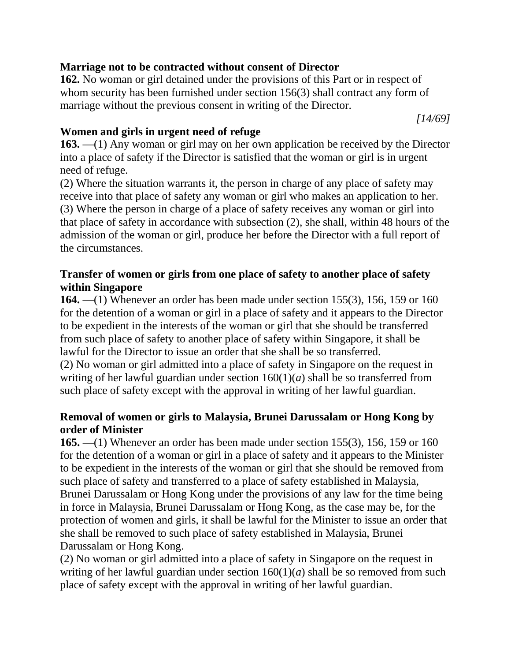# **Marriage not to be contracted without consent of Director**

**162.** No woman or girl detained under the provisions of this Part or in respect of whom security has been furnished under section 156(3) shall contract any form of marriage without the previous consent in writing of the Director.

*[14/69]*

# **Women and girls in urgent need of refuge**

**163.** —(1) Any woman or girl may on her own application be received by the Director into a place of safety if the Director is satisfied that the woman or girl is in urgent need of refuge.

(2) Where the situation warrants it, the person in charge of any place of safety may receive into that place of safety any woman or girl who makes an application to her. (3) Where the person in charge of a place of safety receives any woman or girl into that place of safety in accordance with subsection (2), she shall, within 48 hours of the admission of the woman or girl, produce her before the Director with a full report of the circumstances.

# **Transfer of women or girls from one place of safety to another place of safety within Singapore**

**164.** —(1) Whenever an order has been made under section 155(3), 156, 159 or 160 for the detention of a woman or girl in a place of safety and it appears to the Director to be expedient in the interests of the woman or girl that she should be transferred from such place of safety to another place of safety within Singapore, it shall be lawful for the Director to issue an order that she shall be so transferred.

(2) No woman or girl admitted into a place of safety in Singapore on the request in writing of her lawful guardian under section  $160(1)(a)$  shall be so transferred from such place of safety except with the approval in writing of her lawful guardian.

# **Removal of women or girls to Malaysia, Brunei Darussalam or Hong Kong by order of Minister**

**165.** —(1) Whenever an order has been made under section 155(3), 156, 159 or 160 for the detention of a woman or girl in a place of safety and it appears to the Minister to be expedient in the interests of the woman or girl that she should be removed from such place of safety and transferred to a place of safety established in Malaysia, Brunei Darussalam or Hong Kong under the provisions of any law for the time being in force in Malaysia, Brunei Darussalam or Hong Kong, as the case may be, for the protection of women and girls, it shall be lawful for the Minister to issue an order that she shall be removed to such place of safety established in Malaysia, Brunei Darussalam or Hong Kong.

(2) No woman or girl admitted into a place of safety in Singapore on the request in writing of her lawful guardian under section 160(1)(*a*) shall be so removed from such place of safety except with the approval in writing of her lawful guardian.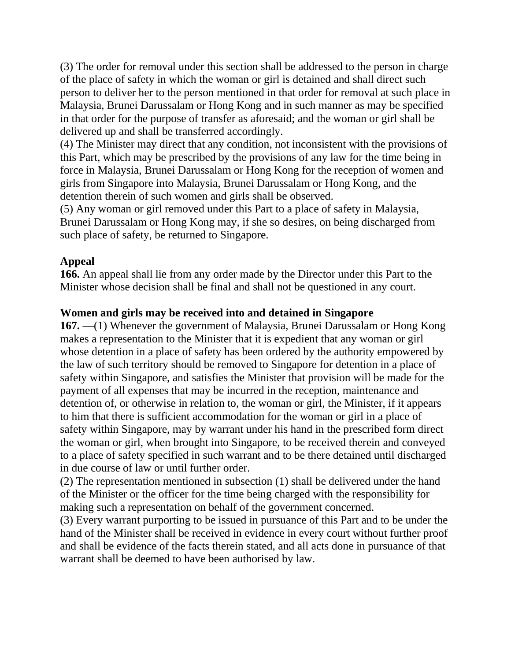(3) The order for removal under this section shall be addressed to the person in charge of the place of safety in which the woman or girl is detained and shall direct such person to deliver her to the person mentioned in that order for removal at such place in Malaysia, Brunei Darussalam or Hong Kong and in such manner as may be specified in that order for the purpose of transfer as aforesaid; and the woman or girl shall be delivered up and shall be transferred accordingly.

(4) The Minister may direct that any condition, not inconsistent with the provisions of this Part, which may be prescribed by the provisions of any law for the time being in force in Malaysia, Brunei Darussalam or Hong Kong for the reception of women and girls from Singapore into Malaysia, Brunei Darussalam or Hong Kong, and the detention therein of such women and girls shall be observed.

(5) Any woman or girl removed under this Part to a place of safety in Malaysia, Brunei Darussalam or Hong Kong may, if she so desires, on being discharged from such place of safety, be returned to Singapore.

# **Appeal**

**166.** An appeal shall lie from any order made by the Director under this Part to the Minister whose decision shall be final and shall not be questioned in any court.

# **Women and girls may be received into and detained in Singapore**

**167.** —(1) Whenever the government of Malaysia, Brunei Darussalam or Hong Kong makes a representation to the Minister that it is expedient that any woman or girl whose detention in a place of safety has been ordered by the authority empowered by the law of such territory should be removed to Singapore for detention in a place of safety within Singapore, and satisfies the Minister that provision will be made for the payment of all expenses that may be incurred in the reception, maintenance and detention of, or otherwise in relation to, the woman or girl, the Minister, if it appears to him that there is sufficient accommodation for the woman or girl in a place of safety within Singapore, may by warrant under his hand in the prescribed form direct the woman or girl, when brought into Singapore, to be received therein and conveyed to a place of safety specified in such warrant and to be there detained until discharged in due course of law or until further order.

(2) The representation mentioned in subsection (1) shall be delivered under the hand of the Minister or the officer for the time being charged with the responsibility for making such a representation on behalf of the government concerned.

(3) Every warrant purporting to be issued in pursuance of this Part and to be under the hand of the Minister shall be received in evidence in every court without further proof and shall be evidence of the facts therein stated, and all acts done in pursuance of that warrant shall be deemed to have been authorised by law.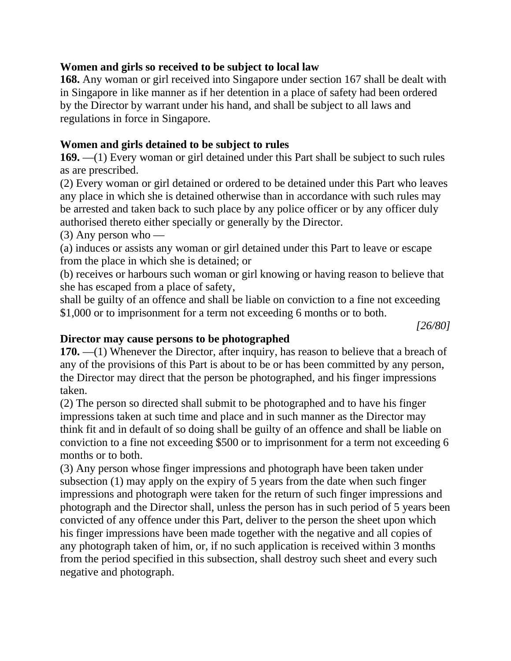# **Women and girls so received to be subject to local law**

**168.** Any woman or girl received into Singapore under section 167 shall be dealt with in Singapore in like manner as if her detention in a place of safety had been ordered by the Director by warrant under his hand, and shall be subject to all laws and regulations in force in Singapore.

# **Women and girls detained to be subject to rules**

**169.** —(1) Every woman or girl detained under this Part shall be subject to such rules as are prescribed.

(2) Every woman or girl detained or ordered to be detained under this Part who leaves any place in which she is detained otherwise than in accordance with such rules may be arrested and taken back to such place by any police officer or by any officer duly authorised thereto either specially or generally by the Director.

(3) Any person who —

(a) induces or assists any woman or girl detained under this Part to leave or escape from the place in which she is detained; or

(b) receives or harbours such woman or girl knowing or having reason to believe that she has escaped from a place of safety,

shall be guilty of an offence and shall be liable on conviction to a fine not exceeding \$1,000 or to imprisonment for a term not exceeding 6 months or to both.

*[26/80]*

### **Director may cause persons to be photographed**

**170.** —(1) Whenever the Director, after inquiry, has reason to believe that a breach of any of the provisions of this Part is about to be or has been committed by any person, the Director may direct that the person be photographed, and his finger impressions taken.

(2) The person so directed shall submit to be photographed and to have his finger impressions taken at such time and place and in such manner as the Director may think fit and in default of so doing shall be guilty of an offence and shall be liable on conviction to a fine not exceeding \$500 or to imprisonment for a term not exceeding 6 months or to both.

(3) Any person whose finger impressions and photograph have been taken under subsection (1) may apply on the expiry of 5 years from the date when such finger impressions and photograph were taken for the return of such finger impressions and photograph and the Director shall, unless the person has in such period of 5 years been convicted of any offence under this Part, deliver to the person the sheet upon which his finger impressions have been made together with the negative and all copies of any photograph taken of him, or, if no such application is received within 3 months from the period specified in this subsection, shall destroy such sheet and every such negative and photograph.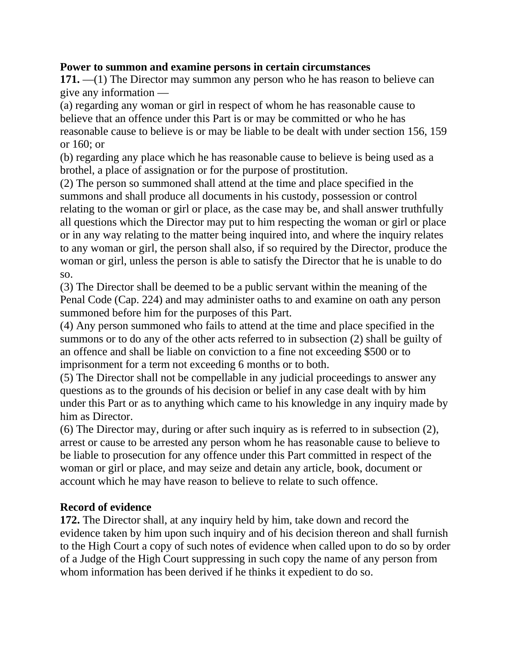# **Power to summon and examine persons in certain circumstances**

**171.** —(1) The Director may summon any person who he has reason to believe can give any information —

(a) regarding any woman or girl in respect of whom he has reasonable cause to believe that an offence under this Part is or may be committed or who he has reasonable cause to believe is or may be liable to be dealt with under section 156, 159 or 160; or

(b) regarding any place which he has reasonable cause to believe is being used as a brothel, a place of assignation or for the purpose of prostitution.

(2) The person so summoned shall attend at the time and place specified in the summons and shall produce all documents in his custody, possession or control relating to the woman or girl or place, as the case may be, and shall answer truthfully all questions which the Director may put to him respecting the woman or girl or place or in any way relating to the matter being inquired into, and where the inquiry relates to any woman or girl, the person shall also, if so required by the Director, produce the woman or girl, unless the person is able to satisfy the Director that he is unable to do so.

(3) The Director shall be deemed to be a public servant within the meaning of the Penal Code (Cap. 224) and may administer oaths to and examine on oath any person summoned before him for the purposes of this Part.

(4) Any person summoned who fails to attend at the time and place specified in the summons or to do any of the other acts referred to in subsection (2) shall be guilty of an offence and shall be liable on conviction to a fine not exceeding \$500 or to imprisonment for a term not exceeding 6 months or to both.

(5) The Director shall not be compellable in any judicial proceedings to answer any questions as to the grounds of his decision or belief in any case dealt with by him under this Part or as to anything which came to his knowledge in any inquiry made by him as Director.

(6) The Director may, during or after such inquiry as is referred to in subsection (2), arrest or cause to be arrested any person whom he has reasonable cause to believe to be liable to prosecution for any offence under this Part committed in respect of the woman or girl or place, and may seize and detain any article, book, document or account which he may have reason to believe to relate to such offence.

# **Record of evidence**

**172.** The Director shall, at any inquiry held by him, take down and record the evidence taken by him upon such inquiry and of his decision thereon and shall furnish to the High Court a copy of such notes of evidence when called upon to do so by order of a Judge of the High Court suppressing in such copy the name of any person from whom information has been derived if he thinks it expedient to do so.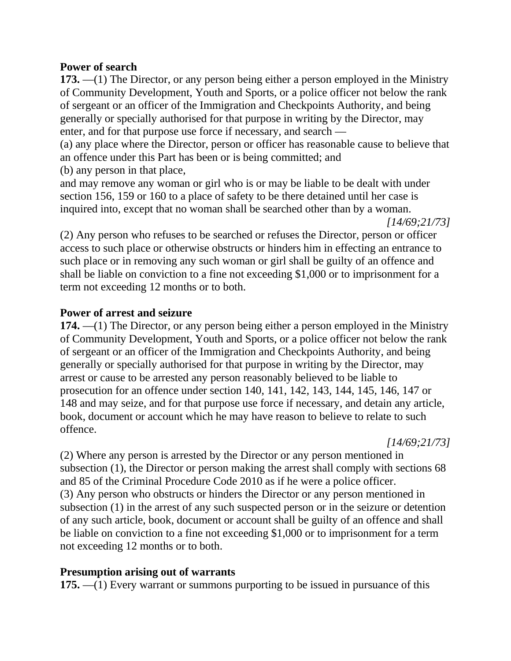### **Power of search**

**173.** —(1) The Director, or any person being either a person employed in the Ministry of Community Development, Youth and Sports, or a police officer not below the rank of sergeant or an officer of the Immigration and Checkpoints Authority, and being generally or specially authorised for that purpose in writing by the Director, may enter, and for that purpose use force if necessary, and search —

(a) any place where the Director, person or officer has reasonable cause to believe that an offence under this Part has been or is being committed; and

(b) any person in that place,

and may remove any woman or girl who is or may be liable to be dealt with under section 156, 159 or 160 to a place of safety to be there detained until her case is inquired into, except that no woman shall be searched other than by a woman.

*[14/69;21/73]*

(2) Any person who refuses to be searched or refuses the Director, person or officer access to such place or otherwise obstructs or hinders him in effecting an entrance to such place or in removing any such woman or girl shall be guilty of an offence and shall be liable on conviction to a fine not exceeding \$1,000 or to imprisonment for a term not exceeding 12 months or to both.

# **Power of arrest and seizure**

**174.** —(1) The Director, or any person being either a person employed in the Ministry of Community Development, Youth and Sports, or a police officer not below the rank of sergeant or an officer of the Immigration and Checkpoints Authority, and being generally or specially authorised for that purpose in writing by the Director, may arrest or cause to be arrested any person reasonably believed to be liable to prosecution for an offence under section 140, 141, 142, 143, 144, 145, 146, 147 or 148 and may seize, and for that purpose use force if necessary, and detain any article, book, document or account which he may have reason to believe to relate to such offence.

*[14/69;21/73]*

(2) Where any person is arrested by the Director or any person mentioned in subsection (1), the Director or person making the arrest shall comply with sections 68 and 85 of the Criminal Procedure Code 2010 as if he were a police officer. (3) Any person who obstructs or hinders the Director or any person mentioned in subsection (1) in the arrest of any such suspected person or in the seizure or detention of any such article, book, document or account shall be guilty of an offence and shall be liable on conviction to a fine not exceeding \$1,000 or to imprisonment for a term not exceeding 12 months or to both.

# **Presumption arising out of warrants**

**175.** —(1) Every warrant or summons purporting to be issued in pursuance of this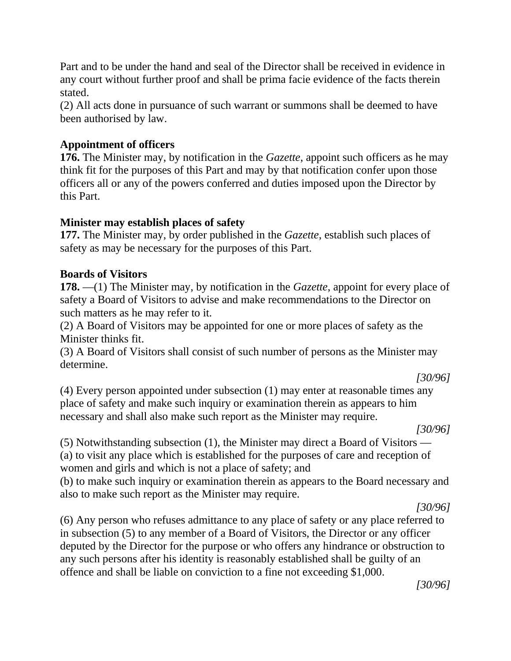Part and to be under the hand and seal of the Director shall be received in evidence in any court without further proof and shall be prima facie evidence of the facts therein stated.

(2) All acts done in pursuance of such warrant or summons shall be deemed to have been authorised by law.

# **Appointment of officers**

**176.** The Minister may, by notification in the *Gazette*, appoint such officers as he may think fit for the purposes of this Part and may by that notification confer upon those officers all or any of the powers conferred and duties imposed upon the Director by this Part.

### **Minister may establish places of safety**

**177.** The Minister may, by order published in the *Gazette*, establish such places of safety as may be necessary for the purposes of this Part.

### **Boards of Visitors**

**178.** —(1) The Minister may, by notification in the *Gazette*, appoint for every place of safety a Board of Visitors to advise and make recommendations to the Director on such matters as he may refer to it.

(2) A Board of Visitors may be appointed for one or more places of safety as the Minister thinks fit.

(3) A Board of Visitors shall consist of such number of persons as the Minister may determine.

*[30/96]*

(4) Every person appointed under subsection (1) may enter at reasonable times any place of safety and make such inquiry or examination therein as appears to him necessary and shall also make such report as the Minister may require.

*[30/96]*

(5) Notwithstanding subsection (1), the Minister may direct a Board of Visitors — (a) to visit any place which is established for the purposes of care and reception of women and girls and which is not a place of safety; and

(b) to make such inquiry or examination therein as appears to the Board necessary and also to make such report as the Minister may require.

*[30/96]*

(6) Any person who refuses admittance to any place of safety or any place referred to in subsection (5) to any member of a Board of Visitors, the Director or any officer deputed by the Director for the purpose or who offers any hindrance or obstruction to any such persons after his identity is reasonably established shall be guilty of an offence and shall be liable on conviction to a fine not exceeding \$1,000.

*[30/96]*